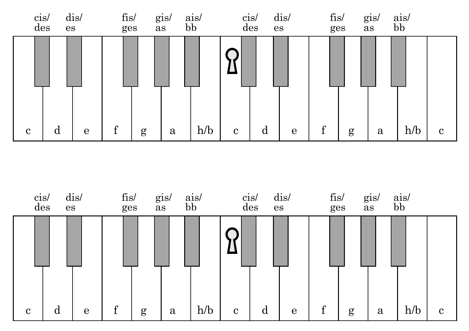